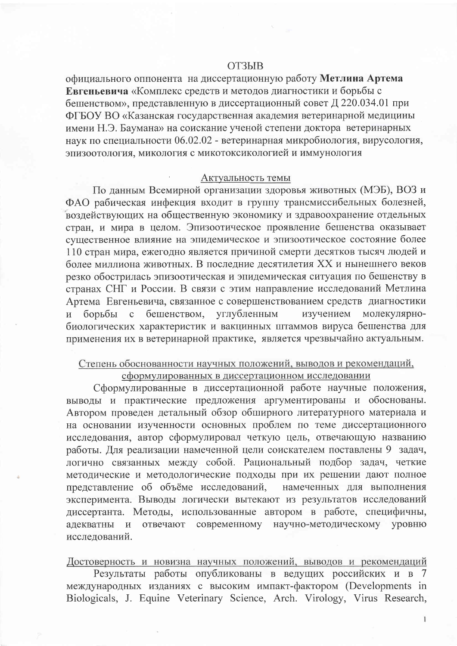#### **ОТЗЫВ**

официального оппонента на диссертационную работу Метлина Артема Евгеньевича «Комплекс средств и методов диагностики и борьбы с бешенством», представленную в диссертационный совет Д 220.034.01 при ФГБОУ ВО «Казанская государственная академия ветеринарной медицины имени Н.Э. Баумана» на соискание ученой степени доктора ветеринарных наук по специальности 06.02.02 - ветеринарная микробиология, вирусология, эпизоотология, микология с микотоксикологией и иммунология

#### Актуальность темы

По данным Всемирной организации здоровья животных (МЭБ), ВОЗ и ФАО рабическая инфекция входит в группу трансмиссибельных болезней, воздействующих на общественную экономику и здравоохранение отдельных стран, и мира в целом. Эпизоотическое проявление бешенства оказывает существенное влияние на эпидемическое и эпизоотическое состояние более 110 стран мира, ежегодно является причиной смерти десятков тысяч людей и более миллиона животных. В последние десятилетия XX и нынешнего веков резко обострилась эпизоотическая и эпидемическая ситуация по бешенству в странах СНГ и России. В связи с этим направление исследований Метлина Артема Евгеньевича, связанное с совершенствованием средств диагностики бешенством, углубленным изучением молекулярно- $\overline{M}$ борьбы  $\mathbf{C}$ биологических характеристик и вакцинных штаммов вируса бешенства для применения их в ветеринарной практике, является чрезвычайно актуальным.

## Степень обоснованности научных положений, выводов и рекомендаций, сформулированных в диссертационном исследовании

Сформулированные в диссертационной работе научные положения, выводы и практические предложения аргументированы и обоснованы. Автором проведен детальный обзор обширного литературного материала и на основании изученности основных проблем по теме диссертационного исследования, автор сформулировал четкую цель, отвечающую названию работы. Для реализации намеченной цели соискателем поставлены 9 задач, логично связанных между собой. Рациональный подбор задач, четкие методические и методологические подходы при их решении дают полное представление об объёме исследований, намеченных для выполнения эксперимента. Выводы логически вытекают из результатов исследований диссертанта. Методы, использованные автором в работе, специфичны, адекватны и отвечают современному научно-методическому уровню исследований.

Достоверность и новизна научных положений, выводов и рекомендаций

Результаты работы опубликованы в ведущих российских и в 7 международных изданиях с высоким импакт-фактором (Developments in Biologicals, J. Equine Veterinary Science, Arch. Virology, Virus Research,

 $\mathbf{I}$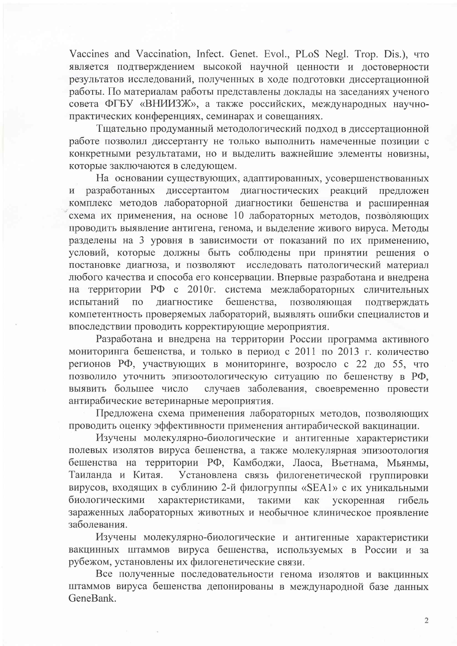Vaccines and Vaccination, Infect. Genet. Evol., PLoS Negl. Trop. Dis.), что является подтверждением высокой научной ценности и достоверности результатов исследований, полученных в ходе подготовки диссертационной работы. По материалам работы представлены доклады на заседаниях ученого совета ФГБУ «ВНИИЗЖ», а также российских, международных научнопрактических конференциях, семинарах и совещаниях.

Тщательно продуманный методологический подход в диссертационной работе позволил диссертанту не только выполнить намеченные позиции с конкретными результатами, но и выделить важнейшие элементы новизны, которые заключаются в следующем.

На основании существующих, адаптированных, усовершенствованных разработанных диссертантом диагностических реакций предложен  $\overline{M}$ комплекс методов лабораторной диагностики бешенства и расширенная схема их применения, на основе 10 лабораторных методов, позволяющих проводить выявление антигена, генома, и выделение живого вируса. Методы разделены на 3 уровня в зависимости от показаний по их применению, условий, которые должны быть соблюдены при принятии решения о постановке диагноза, и позволяют исследовать патологический материал любого качества и способа его консервации. Впервые разработана и внедрена на территории РФ с 2010г. система межлабораторных сличительных испытаний бешенства,  $\Pi$ <sup>O</sup> диагностике позволяющая подтверждать компетентность проверяемых лабораторий, выявлять ошибки специалистов и впоследствии проводить корректирующие мероприятия.

Разработана и внедрена на территории России программа активного мониторинга бешенства, и только в период с 2011 по 2013 г. количество регионов РФ, участвующих в мониторинге, возросло с 22 до 55, что позволило уточнить эпизоотологическую ситуацию по бешенству в РФ, выявить большее число случаев заболевания, своевременно провести антирабические ветеринарные мероприятия.

Предложена схема применения лабораторных методов, позволяющих проводить оценку эффективности применения антирабической вакцинации.

Изучены молекулярно-биологические и антигенные характеристики полевых изолятов вируса бешенства, а также молекулярная эпизоотология бешенства на территории РФ, Камбоджи, Лаоса, Вьетнама, Мьянмы, Таиланда и Китая. Установлена связь филогенетической группировки вирусов, входящих в сублинию 2-й филогруппы «SEA1» с их уникальными биологическими характеристиками, такими как ускоренная гибель зараженных лабораторных животных и необычное клиническое проявление заболевания.

Изучены молекулярно-биологические и антигенные характеристики вакцинных штаммов вируса бешенства, используемых в России и  $3a$ рубежом, установлены их филогенетические связи.

Все полученные последовательности генома изолятов и вакцинных штаммов вируса бешенства депонированы в международной базе данных GeneBank.

 $\overline{2}$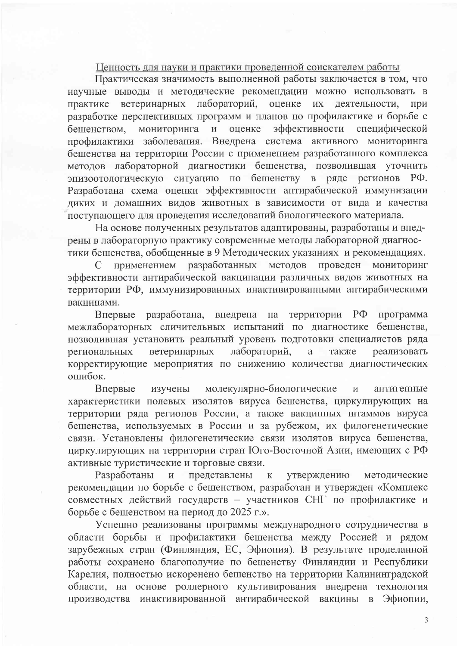# Ценность для науки и практики проведенной соискателем работы

Практическая значимость выполненной работы заключается в том, что научные выводы и методические рекомендации можно использовать в практике ветеринарных лабораторий, оценке их деятельности, при разработке перспективных программ и планов по профилактике и борьбе с эффективности специфической бешенством, мониторинга и оценке профилактики заболевания. Внедрена система активного мониторинга бешенства на территории России с применением разработанного комплекса методов лабораторной диагностики бешенства, позволившая уточнить эпизоотологическую ситуацию по бешенству в ряде регионов РФ. Разработана схема оценки эффективности антирабической иммунизации диких и домашних видов животных в зависимости от вида и качества поступающего для проведения исследований биологического материала.

На основе полученных результатов адаптированы, разработаны и внедрены в лабораторную практику современные методы лабораторной диагностики бешенства, обобщенные в 9 Методических указаниях и рекомендациях.

МОНИТОРИНГ применением разработанных методов проведен  $\mathcal{C}$ эффективности антирабической вакцинации различных видов животных на территории РФ, иммунизированных инактивированными антирабическими вакцинами.

Впервые разработана, внедрена на территории РФ программа межлабораторных сличительных испытаний по диагностике бешенства, позволившая установить реальный уровень подготовки специалистов ряда ветеринарных лабораторий, реализовать региональных  $\mathbf{a}$ также корректирующие мероприятия по снижению количества диагностических ошибок.

молекулярно-биологические Впервые изучены  $\,$  M антигенные характеристики полевых изолятов вируса бешенства, циркулирующих на территории ряда регионов России, а также вакцинных штаммов вируса бешенства, используемых в России и за рубежом, их филогенетические связи. Установлены филогенетические связи изолятов вируса бешенства, циркулирующих на территории стран Юго-Восточной Азии, имеющих с РФ активные туристические и торговые связи.

Разработаны представлены утверждению методические  $\overline{M}$  $\mathbf K$ рекомендации по борьбе с бешенством, разработан и утвержден «Комплекс совместных действий государств - участников СНГ по профилактике и борьбе с бешенством на период до 2025 г.».

Успешно реализованы программы международного сотрудничества в области борьбы и профилактики бешенства между Россией и рядом<br>зарубежных стран (Финляндия, ЕС, Эфиопия). В результате проделанной работы сохранено благополучие по бешенству Финляндии и Республики Карелия, полностью искоренено бешенство на территории Калининградской области, на основе роллерного культивирования внедрена технология производства инактивированной антирабической вакцины в Эфиопии,

3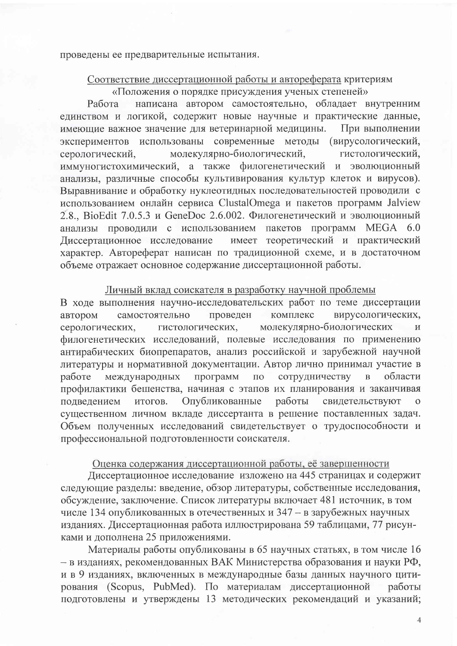проведены ее предварительные испытания.

### Соответствие диссертационной работы и автореферата критериям «Положения о порядке присуждения ученых степеней»

написана автором самостоятельно, обладает внутренним Работа единством и логикой, содержит новые научные и практические данные, имеющие важное значение для ветеринарной медицины. При выполнении экспериментов использованы современные методы (вирусологический, молекулярно-биологический, серологический, гистологический, иммуногистохимический, а также филогенетический и эволюционный анализы, различные способы культивирования культур клеток и вирусов). Выравнивание и обработку нуклеотидных последовательностей проводили с использованием онлайн сервиса ClustalOmega и пакетов программ Jalview 2.8., BioEdit 7.0.5.3 и GeneDoc 2.6.002. Филогенетический и эволюционный анализы проводили с использованием пакетов программ MEGA 6.0 имеет теоретический и практический Диссертационное исследование характер. Автореферат написан по традиционной схеме, и в достаточном объеме отражает основное содержание диссертационной работы.

# Личный вклад соискателя в разработку научной проблемы

В ходе выполнения научно-исследовательских работ по теме диссертации проведен вирусологических, автором самостоятельно комплекс гистологических, молекулярно-биологических серологических,  $\overline{\mathbf{M}}$ филогенетических исследований, полевые исследования по применению антирабических биопрепаратов, анализ российской и зарубежной научной литературы и нормативной документации. Автор лично принимал участие в сотрудничеству международных программ  $\overline{B}$ области работе  $\Pi\textnormal{O}$ профилактики бешенства, начиная с этапов их планирования и заканчивая Опубликованные подведением итогов. работы свидетельствуют  $\Omega$ существенном личном вкладе диссертанта в решение поставленных задач. Объем полученных исследований свидетельствует о трудоспособности и профессиональной подготовленности соискателя.

## Оценка содержания диссертационной работы, её завершенности

Диссертационное исследование изложено на 445 страницах и содержит следующие разделы: введение, обзор литературы, собственные исследования, обсуждение, заключение. Список литературы включает 481 источник, в том числе 134 опубликованных в отечественных и 347 - в зарубежных научных изданиях. Диссертационная работа иллюстрирована 59 таблицами, 77 рисунками и дополнена 25 приложениями.

Материалы работы опубликованы в 65 научных статьях, в том числе 16 - в изданиях, рекомендованных ВАК Министерства образования и науки РФ, и в 9 изданиях, включенных в международные базы данных научного цитирования (Scopus, PubMed). По материалам диссертационной работы подготовлены и утверждены 13 методических рекомендаций и указаний;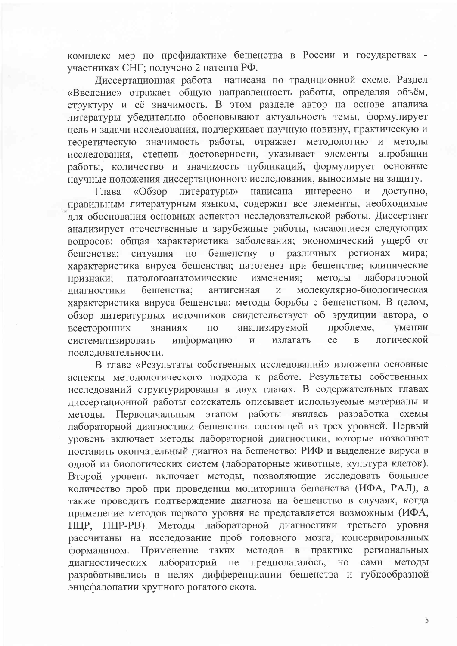комплекс мер по профилактике бешенства в России и государствах участниках СНГ; получено 2 патента РФ.

Диссертационная работа написана по традиционной схеме. Раздел «Введение» отражает общую направленность работы, определяя объём, структуру и её значимость. В этом разделе автор на основе анализа литературы убедительно обосновывают актуальность темы, формулирует цель и задачи исследования, подчеркивает научную новизну, практическую и теоретическую значимость работы, отражает методологию и методы исследования, степень достоверности, указывает элементы апробации работы, количество и значимость публикаций, формулирует основные научные положения диссертационного исследования, выносимые на защиту.

«Обзор литературы» написана интересно  $\overline{M}$ доступно, Глава правильным литературным языком, содержит все элементы, необходимые для обоснования основных аспектов исследовательской работы. Диссертант анализирует отечественные и зарубежные работы, касающиеся следующих вопросов: общая характеристика заболевания; экономический ущерб от различных ситуация по бешенству регионах  $\overline{B}$ бешенства; мира; характеристика вируса бешенства; патогенез при бешенстве; клинические патологоанатомические методы лабораторной изменения; признаки; молекулярно-биологическая бешенства: антигенная  $\overline{\mathbf{M}}$ лиагностики характеристика вируса бешенства; методы борьбы с бешенством. В целом, обзор литературных источников свидетельствует об эрудиции автора, о проблеме, анализируемой умении знаниях  $\Pi$ <sup>O</sup> всесторонних систематизировать информацию  $\overline{\mathbf{M}}$ излагать ee  $\overline{B}$ логической последовательности.

В главе «Результаты собственных исследований» изложены основные аспекты методологического подхода к работе. Результаты собственных исследований структурированы в двух главах. В содержательных главах диссертационной работы соискатель описывает используемые материалы и Первоначальным этапом работы явилась разработка схемы методы. лабораторной диагностики бешенства, состоящей из трех уровней. Первый уровень включает методы лабораторной диагностики, которые позволяют поставить окончательный диагноз на бешенство: РИФ и выделение вируса в одной из биологических систем (лабораторные животные, культура клеток). Второй уровень включает методы, позволяющие исследовать большое количество проб при проведении мониторинга бешенства (ИФА, РАЛ), а также проводить подтверждение диагноза на бешенство в случаях, когда применение методов первого уровня не представляется возможным (ИФА, ПЦР, ПЦР-РВ). Методы лабораторной диагностики третьего уровня рассчитаны на исследование проб головного мозга, консервированных формалином. Применение таких методов в практике региональных лабораторий не предполагалось, диагностических HO сами методы разрабатывались в целях дифференциации бешенства и губкообразной энцефалопатии крупного рогатого скота.

5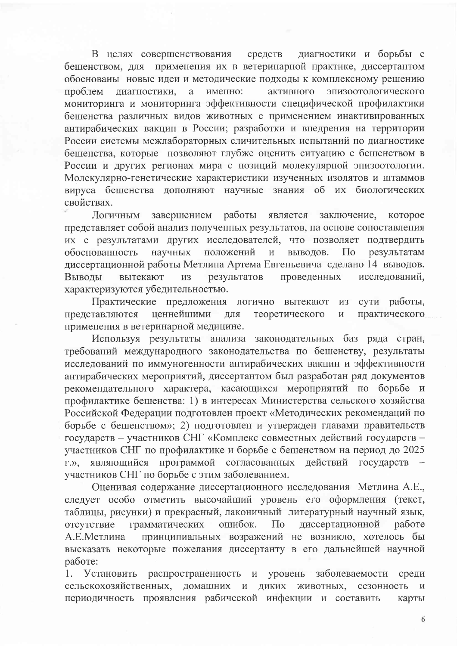В целях совершенствования средств диагностики и борьбы с бешенством, для применения их в ветеринарной практике, диссертантом обоснованы новые идеи и методические подходы к комплексному решению именно: эпизоотологического проблем диагностики.  $\mathbf{a}$ активного мониторинга и мониторинга эффективности специфической профилактики бешенства различных видов животных с применением инактивированных антирабических вакцин в России; разработки и внедрения на территории России системы межлабораторных сличительных испытаний по диагностике бешенства, которые позволяют глубже оценить ситуацию с бешенством в России и других регионах мира с позиций молекулярной эпизоотологии. Молекулярно-генетические характеристики изученных изолятов и штаммов вируса бешенства дополняют научные знания об их биологических свойствах.

работы является Логичным завершением заключение. которое представляет собой анализ полученных результатов, на основе сопоставления их с результатами других исследователей, что позволяет подтвердить положений обоснованность научных результатам  $\,$  M выводов.  $\prod$ O диссертационной работы Метлина Артема Евгеньевича сделано 14 выводов. Выволы вытекают результатов проведенных исследований. И3 характеризуются убедительностью.

Практические предложения логично вытекают сути работы, **ИЗ** представляются ценнейшими ДЛЯ теоретического  $\overline{\mathbf{M}}$ практического применения в ветеринарной медицине.

Используя результаты анализа законодательных баз ряда стран, требований международного законодательства по бешенству, результаты исследований по иммуногенности антирабических вакцин и эффективности антирабических мероприятий, диссертантом был разработан ряд документов рекомендательного характера, касающихся мероприятий по борьбе и профилактике бешенства: 1) в интересах Министерства сельского хозяйства Российской Федерации подготовлен проект «Методических рекомендаций по борьбе с бешенством»; 2) подготовлен и утвержден главами правительств государств - участников СНГ «Комплекс совместных действий государств участников СНГ по профилактике и борьбе с бешенством на период до 2025 являющийся программой согласованных действий государств  $\Gamma$ . $\gg$ . участников СНГ по борьбе с этим заболеванием.

Оценивая содержание диссертационного исследования Метлина А.Е., следует особо отметить высочайший уровень его оформления (текст, таблицы, рисунки) и прекрасный, лаконичный литературный научный язык, отсутствие грамматических ошибок.  $\Pi$ o диссертационной работе принципиальных возражений не возникло, хотелось бы А.Е.Метлина высказать некоторые пожелания диссертанту в его дальнейшей научной работе:

Установить распространенность уровень заболеваемости 1. среди животных, сельскохозяйственных, домашних и диких сезонность  $\overline{\mathbf{M}}$ периодичность проявления рабической инфекции и составить карты

6